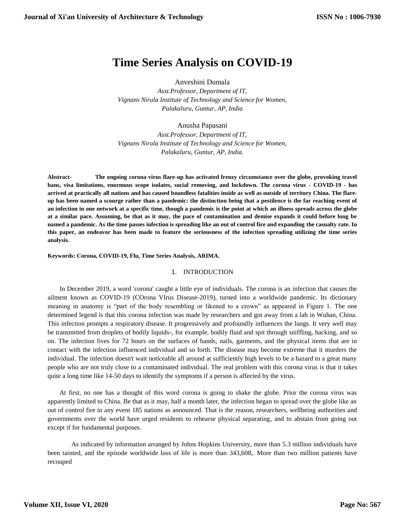# **Time Series Analysis on COVID-19**

Anveshini Dumala

*Asst.Professor, Department of IT, Vignans Nirula Institute of Technology and Science for Women, Palakaluru, Guntur, AP, India*

Anusha Papasani

*Asst.Professor, Department of IT, Vignans Nirula Institute of Technology and Science for Women, Palakaluru, Guntur, AP, India.*

**Abstract- The ongoing corona virus flare-up has activated frenzy circumstance over the globe, provoking travel bans, visa limitations, enormous scope isolates, social removing, and lockdown. The corona virus - COVID-19 - has arrived at practically all nations and has caused boundless fatalities inside as well as outside of territory China. The flareup has been named a scourge rather than a pandemic: the distinction being that a pestilence is the far reaching event of an infection in one network at a specific time, though a pandemic is the point at which an illness spreads across the globe at a similar pace. Assuming, be that as it may, the pace of contamination and demise expands it could before long be named a pandemic. As the time passes infection is spreading like an out of control fire and expanding the casualty rate. In this paper, an endeavor has been made to feature the seriousness of the infection spreading utilizing the time series analysis.**

**Keywords: Corona, COVID-19, Flu, Time Series Analysis, ARIMA.**

## 1. INTRODUCTION

In December 2019, a word 'corona' caught a little eye of individuals. The corona is an infection that causes the ailment known as COVID-19 (COrona VIrus Disease-2019), turned into a worldwide pandemic. Its dictionary meaning in anatomy is "part of the body resembling or likened to a crown" as appeared in Figure 1. The one determined legend is that this corona infection was made by researchers and got away from a lab in Wuhan, China. This infection prompts a respiratory disease. It progressively and profoundly influences the lungs. It very well may be transmitted from droplets of bodily liquids-, for example, bodily fluid and spit through sniffling, hacking, and so on. The infection lives for 72 hours on the surfaces of hands, nails, garments, and the physical items that are in contact with the infection influenced individual and so forth. The disease may become extreme that it murders the individual. The infection doesn't wait noticeable all around at sufficiently high levels to be a hazard to a great many people who are not truly close to a contaminated individual. The real problem with this corona virus is that it takes quite a long time like 14-50 days to identify the symptoms if a person is affected by the virus.

At first, no one has a thought of this word corona is going to shake the globe. Prior the corona virus was apparently limited to China. Be that as it may, half a month later, the infection began to spread over the globe like an out of control fire in any event 185 nations as announced. That is the reason, researchers, wellbeing authorities and governments over the world have urged residents to rehearse physical separating, and to abstain from going out except if for fundamental purposes.

As indicated by information arranged by Johns Hopkins University, more than 5.3 million individuals have been tainted, and the episode worldwide loss of life is more than 343,608,. More than two million patients have recouped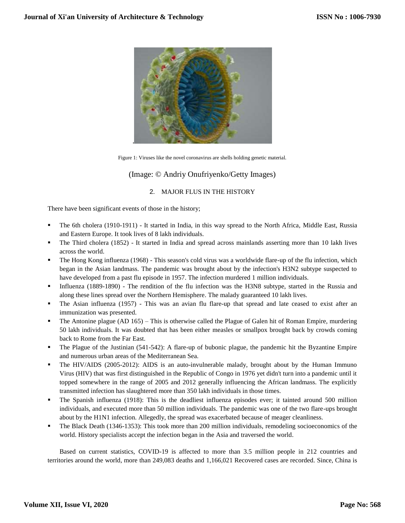

Figure 1: Viruses like the novel coronavirus are shells holding genetic material.

# (Image: © Andriy Onufriyenko/Getty Images)

## 2. MAJOR FLUS IN THE HISTORY

There have been significant events of those in the history;

- The 6th cholera (1910-1911) It started in India, in this way spread to the North Africa, Middle East, Russia and Eastern Europe. It took lives of 8 lakh individuals.
- The Third cholera (1852) It started in India and spread across mainlands asserting more than 10 lakh lives across the world.
- The Hong Kong influenza (1968) This season's cold virus was a worldwide flare-up of the flu infection, which began in the Asian landmass. The pandemic was brought about by the infection's H3N2 subtype suspected to have developed from a past flu episode in 1957. The infection murdered 1 million individuals.
- Influenza (1889-1890) The rendition of the flu infection was the H3N8 subtype, started in the Russia and along these lines spread over the Northern Hemisphere. The malady guaranteed 10 lakh lives.
- The Asian influenza (1957) This was an avian flu flare-up that spread and late ceased to exist after an immunization was presented.
- The Antonine plague (AD 165) This is otherwise called the Plague of Galen hit of Roman Empire, murdering 50 lakh individuals. It was doubted that has been either measles or smallpox brought back by crowds coming back to Rome from the Far East.
- The Plague of the Justinian (541-542): A flare-up of bubonic plague, the pandemic hit the Byzantine Empire and numerous urban areas of the Mediterranean Sea.
- The HIV/AIDS (2005-2012): AIDS is an auto-invulnerable malady, brought about by the Human Immuno Virus (HIV) that was first distinguished in the Republic of Congo in 1976 yet didn't turn into a pandemic until it topped somewhere in the range of 2005 and 2012 generally influencing the African landmass. The explicitly transmitted infection has slaughtered more than 350 lakh individuals in those times.
- The Spanish influenza (1918): This is the deadliest influenza episodes ever; it tainted around 500 million individuals, and executed more than 50 million individuals. The pandemic was one of the two flare-ups brought about by the H1N1 infection. Allegedly, the spread was exacerbated because of meager cleanliness.
- The Black Death (1346-1353): This took more than 200 million individuals, remodeling socioeconomics of the world. History specialists accept the infection began in the Asia and traversed the world.

Based on current statistics, COVID-19 is affected to more than 3.5 million people in 212 countries and territories around the world, more than 249,083 deaths and 1,166,021 Recovered cases are recorded. Since, China is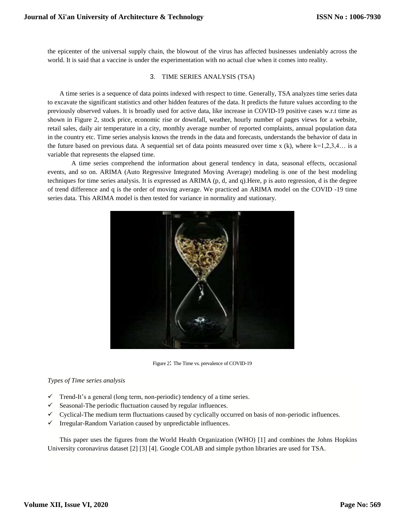the epicenter of the universal supply chain, the blowout of the virus has affected businesses undeniably across the world. It is said that a vaccine is under the experimentation with no actual clue when it comes into reality.

### 3. TIME SERIES ANALYSIS (TSA)

A time series is a sequence of data points indexed with respect to time. Generally, TSA analyzes time series data to excavate the significant statistics and other hidden features of the data. It predicts the future values according to the previously observed values. It is broadly used for active data, like increase in COVID-19 positive cases w.r.t time as shown in Figure 2, stock price, economic rise or downfall, weather, hourly number of pages views for a website, retail sales, daily air temperature in a city, monthly average number of reported complaints, annual population data in the country etc. Time series analysis knows the trends in the data and forecasts, understands the behavior of data in the future based on previous data. A sequential set of data points measured over time x  $(k)$ , where  $k=1,2,3,4...$  is a variable that represents the elapsed time.

A time series comprehend the information about general tendency in data, seasonal effects, occasional events, and so on. ARIMA (Auto Regressive Integrated Moving Average) modeling is one of the best modeling techniques for time series analysis. It is expressed as ARIMA (p, d, and q).Here, p is auto regression, d is the degree of trend difference and q is the order of moving average. We practiced an ARIMA model on the COVID -19 time series data. This ARIMA model is then tested for variance in normality and stationary.



Figure 2: The Time vs. prevalence of COVID-19

#### *Types of Time series analysis*

- $\checkmark$  Trend-It's a general (long term, non-periodic) tendency of a time series.
- $\checkmark$  Seasonal-The periodic fluctuation caused by regular influences.
- $\checkmark$  Cyclical-The medium term fluctuations caused by cyclically occurred on basis of non-periodic influences.
- $\checkmark$  Irregular-Random Variation caused by unpredictable influences.

This paper uses the figures from the [World Health Organization \(WHO\)](https://www.who.int/emergencies/diseases/novel-coronavirus-2019) [1] and combines the [Johns Hopkins](https://github.com/CSSEGISandData/COVID-19)  [University coronavirus dataset](https://github.com/CSSEGISandData/COVID-19) [2] [3] [4]. Google COLAB and simple python libraries are used for TSA.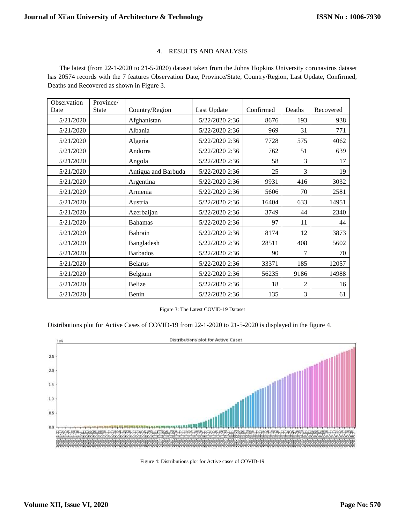# 4. RESULTS AND ANALYSIS

The latest (from 22-1-2020 to 21-5-2020) dataset taken from the [Johns Hopkins University coronavirus dataset](https://github.com/CSSEGISandData/COVID-19) has 20574 records with the 7 features Observation Date, Province/State, Country/Region, Last Update, Confirmed, Deaths and Recovered as shown in Figure 3.

| Observation | Province/    |                     |                |           |        |           |
|-------------|--------------|---------------------|----------------|-----------|--------|-----------|
| Date        | <b>State</b> | Country/Region      | Last Update    | Confirmed | Deaths | Recovered |
| 5/21/2020   |              | Afghanistan         | 5/22/2020 2:36 | 8676      | 193    | 938       |
| 5/21/2020   |              | Albania             | 5/22/2020 2:36 | 969       | 31     | 771       |
| 5/21/2020   |              | Algeria             | 5/22/2020 2:36 | 7728      | 575    | 4062      |
| 5/21/2020   |              | Andorra             | 5/22/2020 2:36 | 762       | 51     | 639       |
| 5/21/2020   |              | Angola              | 5/22/2020 2:36 | 58        | 3      | 17        |
| 5/21/2020   |              | Antigua and Barbuda | 5/22/2020 2:36 | 25        | 3      | 19        |
| 5/21/2020   |              | Argentina           | 5/22/2020 2:36 | 9931      | 416    | 3032      |
| 5/21/2020   |              | Armenia             | 5/22/2020 2:36 | 5606      | 70     | 2581      |
| 5/21/2020   |              | Austria             | 5/22/2020 2:36 | 16404     | 633    | 14951     |
| 5/21/2020   |              | Azerbaijan          | 5/22/2020 2:36 | 3749      | 44     | 2340      |
| 5/21/2020   |              | <b>Bahamas</b>      | 5/22/2020 2:36 | 97        | 11     | 44        |
| 5/21/2020   |              | Bahrain             | 5/22/2020 2:36 | 8174      | 12     | 3873      |
| 5/21/2020   |              | Bangladesh          | 5/22/2020 2:36 | 28511     | 408    | 5602      |
| 5/21/2020   |              | <b>Barbados</b>     | 5/22/2020 2:36 | 90        | 7      | 70        |
| 5/21/2020   |              | <b>Belarus</b>      | 5/22/2020 2:36 | 33371     | 185    | 12057     |
| 5/21/2020   |              | Belgium             | 5/22/2020 2:36 | 56235     | 9186   | 14988     |
| 5/21/2020   |              | <b>Belize</b>       | 5/22/2020 2:36 | 18        | 2      | 16        |
| 5/21/2020   |              | Benin               | 5/22/2020 2:36 | 135       | 3      | 61        |

Figure 3: The Latest COVID-19 Dataset

Distributions plot for Active Cases of COVID-19 from 22-1-2020 to 21-5-2020 is displayed in the figure 4.



Figure 4: Distributions plot for Active cases of COVID-19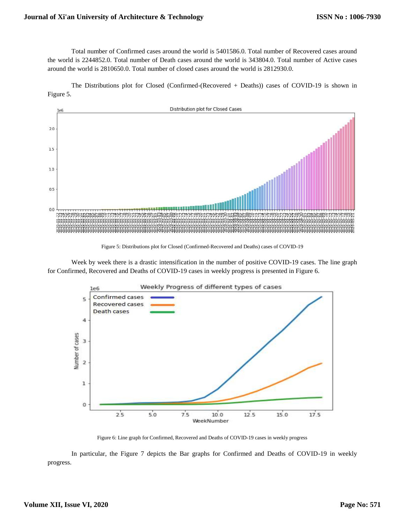Total number of Confirmed cases around the world is 5401586.0. Total number of Recovered cases around the world is 2244852.0. Total number of Death cases around the world is 343804.0. Total number of Active cases around the world is 2810650.0. Total number of closed cases around the world is 2812930.0.

The Distributions plot for Closed (Confirmed-(Recovered + Deaths)) cases of COVID-19 is shown in Figure 5.



Figure 5: Distributions plot for Closed (Confirmed-Recovered and Deaths) cases of COVID-19

Week by week there is a drastic intensification in the number of positive COVID-19 cases. The line graph for Confirmed, Recovered and Deaths of COVID-19 cases in weekly progress is presented in Figure 6.



Figure 6: Line graph for Confirmed, Recovered and Deaths of COVID-19 cases in weekly progress

In particular, the Figure 7 depicts the Bar graphs for Confirmed and Deaths of COVID-19 in weekly progress.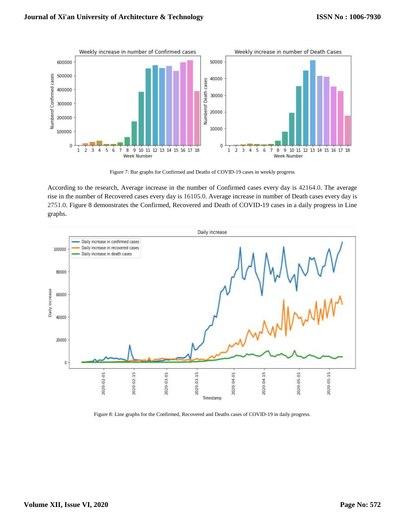

Figure 7: Bar graphs for Confirmed and Deaths of COVID-19 cases in weekly progress

According to the research, Average increase in the number of Confirmed cases every day is 42164.0. The average rise in the number of Recovered cases every day is 16105.0. Average increase in number of Death cases every day is 2751.0. Figure 8 demonstrates the Confirmed, Recovered and Death of COVID-19 cases in a daily progress in Line graphs.



Figure 8: Line graphs for the Confirmed, Recovered and Deaths cases of COVID-19 in daily progress.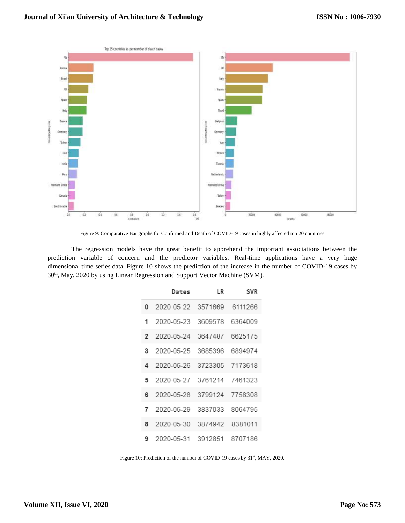

Figure 9: Comparative Bar graphs for Confirmed and Death of COVID-19 cases in highly affected top 20 countries

The regression models have the great benefit to apprehend the important associations between the prediction variable of concern and the predictor variables. Real-time applications have a very huge dimensional time series data. Figure 10 shows the prediction of the increase in the number of COVID-19 cases by 30th, May, 2020 by using Linear Regression and Support Vector Machine (SVM).

|          | Dates                        | LR | <b>SVR</b> |
|----------|------------------------------|----|------------|
| $\Omega$ | 2020-05-22 3571669           |    | 6111266    |
| 1        | 2020-05-23 3609578           |    | 6364009    |
|          | 2 2020-05-24 3647487         |    | 6625175    |
| 3        | 2020-05-25 3685396           |    | 6894974    |
|          | 4 2020-05-26 3723305 7173618 |    |            |
| 5        | 2020-05-27 3761214 7461323   |    |            |
| 6        | 2020-05-28 3799124 7758308   |    |            |
| 7        | 2020-05-29 3837033           |    | 8064795    |
| 8        | 2020-05-30 3874942 8381011   |    |            |
| 9        | 2020-05-31 3912851           |    | 8707186    |

Figure 10: Prediction of the number of COVID-19 cases by 31<sup>st</sup>, MAY, 2020.